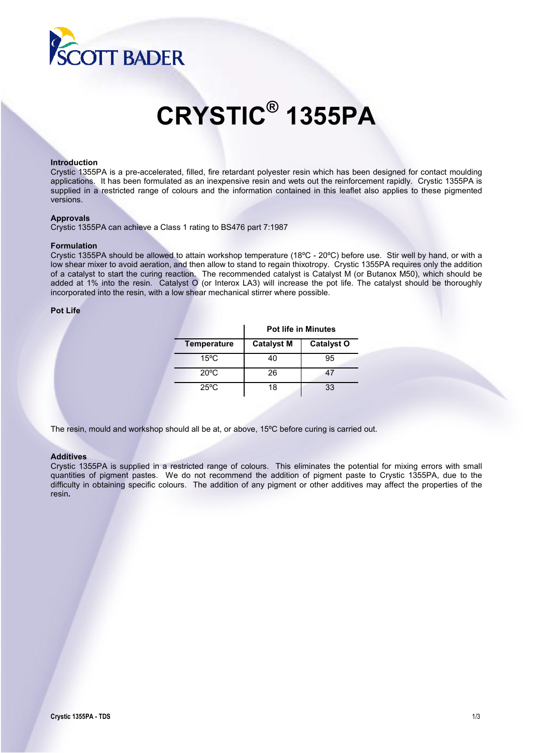

# **CRYSTIC® 1355PA**

#### **Introduction**

Crystic 1355PA is a pre-accelerated, filled, fire retardant polyester resin which has been designed for contact moulding applications. It has been formulated as an inexpensive resin and wets out the reinforcement rapidly. Crystic 1355PA is supplied in a restricted range of colours and the information contained in this leaflet also applies to these pigmented versions.

#### **Approvals**

Crystic 1355PA can achieve a Class 1 rating to BS476 part 7:1987

#### **Formulation**

Crystic 1355PA should be allowed to attain workshop temperature (18ºC - 20ºC) before use. Stir well by hand, or with a low shear mixer to avoid aeration, and then allow to stand to regain thixotropy. Crystic 1355PA requires only the addition of a catalyst to start the curing reaction. The recommended catalyst is Catalyst M (or Butanox M50), which should be added at 1% into the resin. Catalyst O (or Interox LA3) will increase the pot life. The catalyst should be thoroughly incorporated into the resin, with a low shear mechanical stirrer where possible.

#### **Pot Life**

|                    | <b>Pot life in Minutes</b> |                   |  |
|--------------------|----------------------------|-------------------|--|
| <b>Temperature</b> | <b>Catalyst M</b>          | <b>Catalyst O</b> |  |
| $15^{\circ}$ C     | 40                         | 95                |  |
| $20^{\circ}$ C     | 26                         | 47                |  |
| $25^{\circ}$ C     | 18                         | 33                |  |

The resin, mould and workshop should all be at, or above, 15ºC before curing is carried out.

#### **Additives**

Crystic 1355PA is supplied in a restricted range of colours. This eliminates the potential for mixing errors with small quantities of pigment pastes. We do not recommend the addition of pigment paste to Crystic 1355PA, due to the difficulty in obtaining specific colours. The addition of any pigment or other additives may affect the properties of the resin**.**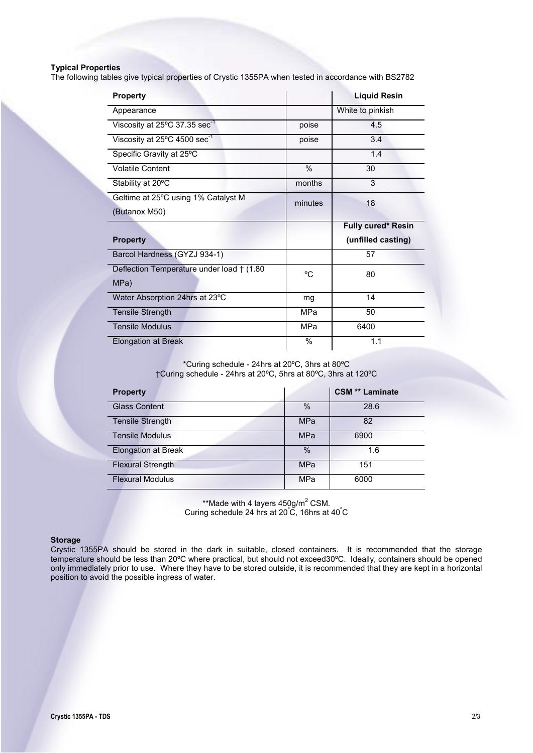## **Typical Properties**

The following tables give typical properties of Crystic 1355PA when tested in accordance with BS2782

| <b>Property</b>                                     |            | <b>Liquid Resin</b> |
|-----------------------------------------------------|------------|---------------------|
| Appearance                                          |            | White to pinkish    |
| Viscosity at $25^{\circ}$ C 37.35 sec <sup>-1</sup> | poise      | 4.5                 |
| Viscosity at 25°C 4500 sec <sup>-1</sup>            | poise      | 3.4                 |
| Specific Gravity at 25°C                            |            | 1.4                 |
| <b>Volatile Content</b>                             | %          | 30                  |
| Stability at 20°C                                   | months     | 3                   |
| Geltime at 25°C using 1% Catalyst M                 | minutes    | 18                  |
| (Butanox M50)                                       |            |                     |
|                                                     |            |                     |
|                                                     |            | Fully cured* Resin  |
| <b>Property</b>                                     |            | (unfilled casting)  |
| Barcol Hardness (GYZJ 934-1)                        |            | 57                  |
| Deflection Temperature under load † (1.80           | °C.        | 80                  |
| MPa)                                                |            |                     |
| Water Absorption 24hrs at 23°C                      | mg         | 14                  |
| Tensile Strength                                    | MPa        | 50                  |
| <b>Tensile Modulus</b>                              | <b>MPa</b> | 6400                |
| <b>Elongation at Break</b>                          | $\%$       | 1.1                 |

\*Curing schedule - 24hrs at 20ºC, 3hrs at 80ºC †Curing schedule - 24hrs at 20ºC, 5hrs at 80ºC, 3hrs at 120ºC

| <b>Property</b>            |               | <b>CSM ** Laminate</b> |
|----------------------------|---------------|------------------------|
| <b>Glass Content</b>       | $\frac{0}{0}$ | 28.6                   |
| <b>Tensile Strength</b>    | <b>MPa</b>    | 82                     |
| <b>Tensile Modulus</b>     | <b>MPa</b>    | 6900                   |
| <b>Elongation at Break</b> | $\%$          | 1.6                    |
| <b>Flexural Strength</b>   | <b>MPa</b>    | 151                    |
| <b>Flexural Modulus</b>    | MPa           | 6000                   |

\*\*Made with 4 layers  $450$ g/m<sup>2</sup> CSM. Curing schedule 24 hrs at  $20^{\circ}$ C, 16hrs at  $40^{\circ}$ C

#### **Storage**

Crystic 1355PA should be stored in the dark in suitable, closed containers. It is recommended that the storage temperature should be less than 20ºC where practical, but should not exceed30ºC. Ideally, containers should be opened only immediately prior to use. Where they have to be stored outside, it is recommended that they are kept in a horizontal position to avoid the possible ingress of water.